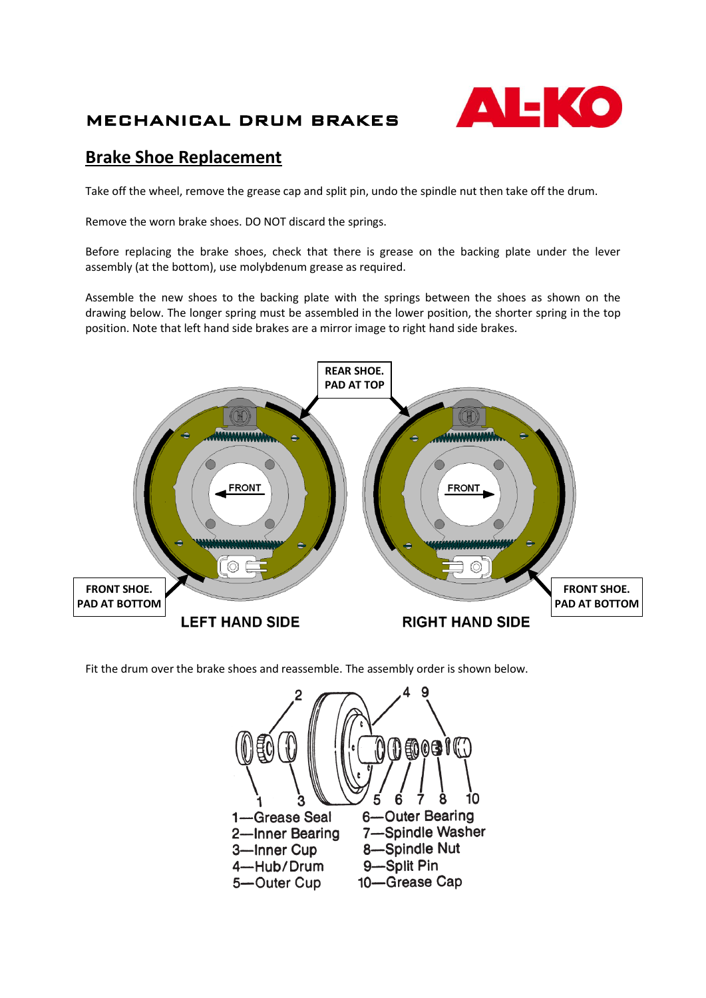## MECHANICAL DRUM BRAKES



## **Brake Shoe Replacement**

Take off the wheel, remove the grease cap and split pin, undo the spindle nut then take off the drum.

Remove the worn brake shoes. DO NOT discard the springs.

Before replacing the brake shoes, check that there is grease on the backing plate under the lever assembly (at the bottom), use molybdenum grease as required.

Assemble the new shoes to the backing plate with the springs between the shoes as shown on the drawing below. The longer spring must be assembled in the lower position, the shorter spring in the top position. Note that left hand side brakes are a mirror image to right hand side brakes.



Fit the drum over the brake shoes and reassemble. The assembly order is shown below.